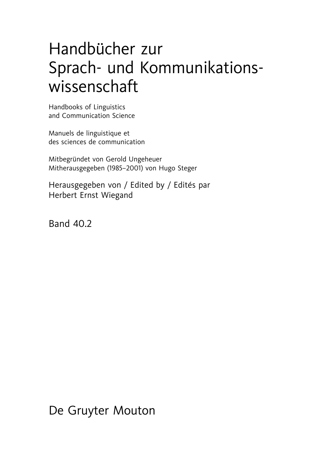## Handbücher zur Sprach- und Kommunikationswissenschaft

Handbooks of Linguistics and Communication Science

Manuels de linguistique et des sciences de communication

Mitbegründet von Gerold Ungeheuer Mitherausgegeben (1985–2001) von Hugo Steger

Herausgegeben von / Edited by / Edités par Herbert Ernst Wiegand

Band 40.2

De Gruyter Mouton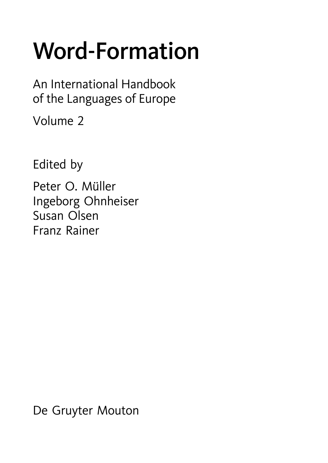# Word-Formation

An International Handbook of the Languages of Europe

Volume 2

Edited by

Peter O. Müller Ingeborg Ohnheiser Susan Olsen Franz Rainer

De Gruyter Mouton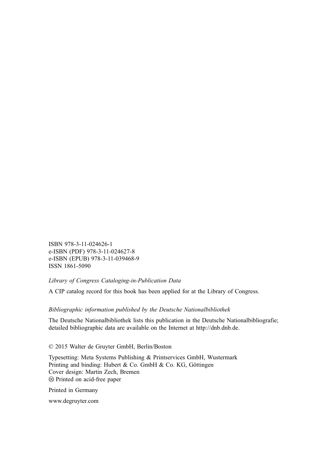ISBN 978-3-11-024626-1 e-ISBN (PDF) 978-3-11-024627-8 e-ISBN (EPUB) 978-3-11-039468-9 ISSN 1861-5090

#### *Library of Congress Cataloging-in-Publication Data*

A CIP catalog record for this book has been applied for at the Library of Congress.

#### *Bibliographic information published by the Deutsche Nationalbibliothek*

The Deutsche Nationalbibliothek lists this publication in the Deutsche Nationalbibliografie; detailed bibliographic data are available on the Internet at http://dnb.dnb.de.

© 2015 Walter de Gruyter GmbH, Berlin/Boston

Typesetting: Meta Systems Publishing & Printservices GmbH, Wustermark Printing and binding: Hubert & Co. GmbH & Co. KG, Göttingen Cover design: Martin Zech, Bremen - Printed on acid-free paper

Printed in Germany

www.degruyter.com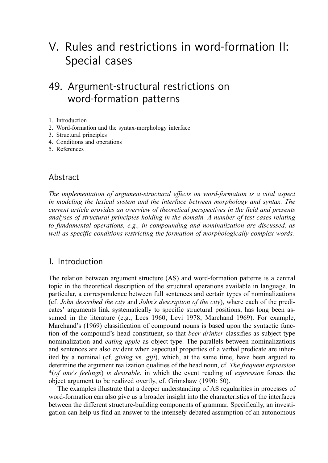## V. Rules and restrictions in word-formation II: Special cases

## 49. Argument-structural restrictions on word-formation patterns

1. Introduction

- 2. Word-formation and the syntax-morphology interface
- 3. Structural principles
- 4. Conditions and operations
- 5. References

#### Abstract

*The implementation of argument-structural effects on word-formation is a vital aspect in modeling the lexical system and the interface between morphology and syntax. The current article provides an overview of theoretical perspectives in the field and presents analyses of structural principles holding in the domain. A number of test cases relating to fundamental operations, e.g., in compounding and nominalization are discussed, as well as specific conditions restricting the formation of morphologically complex words.*

#### 1. Introduction

The relation between argument structure (AS) and word-formation patterns is a central topic in the theoretical description of the structural operations available in language. In particular, a correspondence between full sentences and certain types of nominalizations (cf. *John described the city* and *John's description of the city*), where each of the predicates' arguments link systematically to specific structural positions, has long been assumed in the literature (e.g., Lees 1960; Levi 1978; Marchand 1969). For example, Marchand's (1969) classification of compound nouns is based upon the syntactic function of the compound's head constituent, so that *beer drinker* classifies as subject-type nominalization and *eating apple* as object-type. The parallels between nominalizations and sentences are also evident when aspectual properties of a verbal predicate are inherited by a nominal (cf. *giving* vs. *gift*), which, at the same time, have been argued to determine the argument realization qualities of the head noun, cf. *The frequent expression* \*(*of one's feelings*) *is desirable*, in which the event reading of *expression* forces the object argument to be realized overtly, cf. Grimshaw (1990: 50).

The examples illustrate that a deeper understanding of AS regularities in processes of word-formation can also give us a broader insight into the characteristics of the interfaces between the different structure-building components of grammar. Specifically, an investigation can help us find an answer to the intensely debated assumption of an autonomous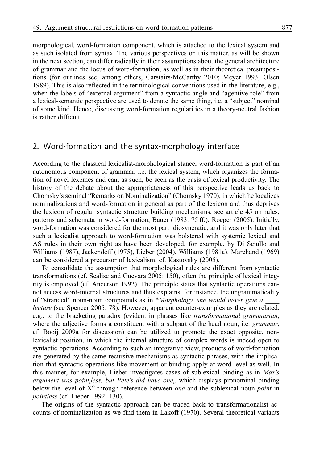morphological, word-formation component, which is attached to the lexical system and as such isolated from syntax. The various perspectives on this matter, as will be shown in the next section, can differ radically in their assumptions about the general architecture of grammar and the locus of word-formation, as well as in their theoretical presuppositions (for outlines see, among others, Carstairs-McCarthy 2010; Meyer 1993; Olsen 1989). This is also reflected in the terminological conventions used in the literature, e.g., when the labels of "external argument" from a syntactic angle and "agentive role" from a lexical-semantic perspective are used to denote the same thing, i.e. a "subject" nominal of some kind. Hence, discussing word-formation regularities in a theory-neutral fashion is rather difficult.

#### 2. Word-formation and the syntax-morphology interface

According to the classical lexicalist-morphological stance, word-formation is part of an autonomous component of grammar, i.e. the lexical system, which organizes the formation of novel lexemes and can, as such, be seen as the basis of lexical productivity. The history of the debate about the appropriateness of this perspective leads us back to Chomsky's seminal "Remarks on Nominalization" (Chomsky 1970), in which he localizes nominalizations and word-formation in general as part of the lexicon and thus deprives the lexicon of regular syntactic structure building mechanisms, see article 45 on rules, patterns and schemata in word-formation, Bauer (1983: 75 ff.), Roeper (2005). Initially, word-formation was considered for the most part idiosyncratic, and it was only later that such a lexicalist approach to word-formation was bolstered with systemic lexical and AS rules in their own right as have been developed, for example, by Di Sciullo and Williams (1987), Jackendoff (1975), Lieber (2004), Williams (1981a). Marchand (1969) can be considered a precursor of lexicalism, cf. Kastovsky (2005).

To consolidate the assumption that morphological rules are different from syntactic transformations (cf. Scalise and Guevara 2005: 150), often the principle of lexical integrity is employed (cf. Anderson 1992). The principle states that syntactic operations cannot access word-internal structures and thus explains, for instance, the ungrammaticality of "stranded" noun-noun compounds as in \**Morphology, she would never give a \_\_\_\_ lecture* (see Spencer 2005: 78). However, apparent counter-examples as they are related, e.g., to the bracketing paradox (evident in phrases like *transformational grammarian*, where the adjective forms a constituent with a subpart of the head noun, i.e. *grammar*, cf. Booij 2009a for discussion) can be utilized to promote the exact opposite, nonlexicalist position, in which the internal structure of complex words is indeed open to syntactic operations. According to such an integrative view, products of word-formation are generated by the same recursive mechanisms as syntactic phrases, with the implication that syntactic operations like movement or binding apply at word level as well. In this manner, for example, Lieber investigates cases of sublexical binding as in *Max's argument was point*i*less, but Pete's did have one*i, which displays pronominal binding below the level of X<sup>0</sup> through reference between *one* and the sublexical noun *point* in *pointless* (cf. Lieber 1992: 130).

The origins of the syntactic approach can be traced back to transformationalist accounts of nominalization as we find them in Lakoff (1970). Several theoretical variants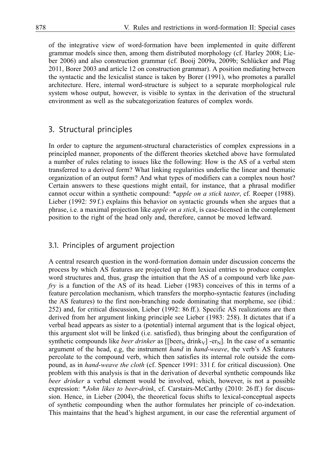of the integrative view of word-formation have been implemented in quite different grammar models since then, among them distributed morphology (cf. Harley 2008; Lieber 2006) and also construction grammar (cf. Booij 2009a, 2009b; Schlücker and Plag 2011, Borer 2003 and article 12 on construction grammar). A position mediating between the syntactic and the lexicalist stance is taken by Borer (1991), who promotes a parallel architecture. Here, internal word-structure is subject to a separate morphological rule system whose output, however, is visible to syntax in the derivation of the structural environment as well as the subcategorization features of complex words.

#### 3. Structural principles

In order to capture the argument-structural characteristics of complex expressions in a principled manner, proponents of the different theories sketched above have formulated a number of rules relating to issues like the following: How is the AS of a verbal stem transferred to a derived form? What linking regularities underlie the linear and thematic organization of an output form? And what types of modifiers can a complex noun host? Certain answers to these questions might entail, for instance, that a phrasal modifier cannot occur within a synthetic compound: \**apple on a stick taster*, cf. Roeper (1988). Lieber (1992: 59 f.) explains this behavior on syntactic grounds when she argues that a phrase, i.e. a maximal projection like *apple on a stick*, is case-licensed in the complement position to the right of the head only and, therefore, cannot be moved leftward.

#### 3.1. Principles of argument projection

A central research question in the word-formation domain under discussion concerns the process by which AS features are projected up from lexical entries to produce complex word structures and, thus, grasp the intuition that the AS of a compound verb like *panfry* is a function of the AS of its head. Lieber (1983) conceives of this in terms of a feature percolation mechanism, which transfers the morpho-syntactic features (including the AS features) to the first non-branching node dominating that morpheme, see (ibid.: 252) and, for critical discussion, Lieber (1992: 86 ff.). Specific AS realizations are then derived from her argument linking principle see Lieber (1983: 258). It dictates that if a verbal head appears as sister to a (potential) internal argument that is the logical object, this argument slot will be linked (i.e. satisfied), thus bringing about the configuration of synthetic compounds like *beer drinker* as  $[[beer_N]$  drink<sub>V</sub>] -er<sub>N</sub>]. In the case of a semantic argument of the head, e.g, the instrument *hand* in *hand-weave*, the verb's AS features percolate to the compound verb, which then satisfies its internal role outside the compound, as in *hand-weave the cloth* (cf. Spencer 1991: 331 f. for critical discussion). One problem with this analysis is that in the derivation of deverbal synthetic compounds like *beer drinker* a verbal element would be involved, which, however, is not a possible expression: \**John likes to beer-drink*, cf. Carstairs-McCarthy (2010: 26 ff.) for discussion. Hence, in Lieber (2004), the theoretical focus shifts to lexical-conceptual aspects of synthetic compounding when the author formulates her principle of co-indexation. This maintains that the head's highest argument, in our case the referential argument of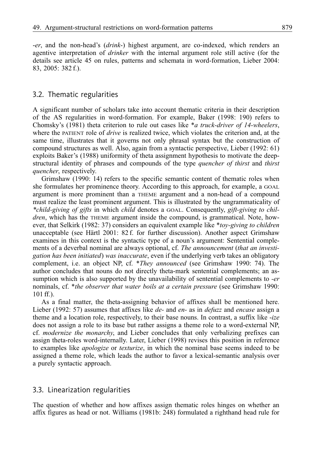-*er*, and the non-head's (*drink*-) highest argument, are co-indexed, which renders an agentive interpretation of *drinker* with the internal argument role still active (for the details see article 45 on rules, patterns and schemata in word-formation, Lieber 2004: 83, 2005: 382 f.).

#### 3.2. Thematic regularities

A significant number of scholars take into account thematic criteria in their description of the AS regularities in word-formation. For example, Baker (1998: 190) refers to Chomsky's (1981) theta criterion to rule out cases like \**a truck-driver of 14-wheelers*, where the PATIENT role of *drive* is realized twice, which violates the criterion and, at the same time, illustrates that it governs not only phrasal syntax but the construction of compound structures as well. Also, again from a syntactic perspective, Lieber (1992: 61) exploits Baker's (1988) uniformity of theta assignment hypothesis to motivate the deepstructural identity of phrases and compounds of the type *quencher of thirst* and *thirst quencher*, respectively.

Grimshaw (1990: 14) refers to the specific semantic content of thematic roles when she formulates her prominence theory. According to this approach, for example, a GOAL argument is more prominent than a THEME argument and a non-head of a compound must realize the least prominent argument. This is illustrated by the ungrammaticality of *\*child-giving of gifts* in which *child* denotes a GOAL. Consequently, *gift-giving to children*, which has the THEME argument inside the compound, is grammatical. Note, however, that Selkirk (1982: 37) considers an equivalent example like \**toy-giving to children* unacceptable (see Härtl 2001: 82 f. for further discussion). Another aspect Grimshaw examines in this context is the syntactic type of a noun's argument: Sentential complements of a deverbal nominal are always optional, cf. *The announcement* (*that an investigation has been initiated*) *was inaccurate*, even if the underlying verb takes an obligatory complement, i.e. an object NP, cf. \**They announced* (see Grimshaw 1990: 74). The author concludes that nouns do not directly theta-mark sentential complements; an assumption which is also supported by the unavailability of sentential complements to *-er* nominals, cf. \**the observer that water boils at a certain pressure* (see Grimshaw 1990: 101 ff.).

As a final matter, the theta-assigning behavior of affixes shall be mentioned here. Lieber (1992: 57) assumes that affixes like *de-* and *en-* as in *defuzz* and *encase* assign a theme and a location role, respectively, to their base nouns. In contrast, a suffix like -*ize* does not assign a role to its base but rather assigns a theme role to a word-external NP, cf. *modernize the monarchy*, and Lieber concludes that only verbalizing prefixes can assign theta-roles word-internally. Later, Lieber (1998) revises this position in reference to examples like *apologize* or *texturize*, in which the nominal base seems indeed to be assigned a theme role, which leads the author to favor a lexical-semantic analysis over a purely syntactic approach.

#### 3.3. Linearization regularities

The question of whether and how affixes assign thematic roles hinges on whether an affix figures as head or not. Williams (1981b: 248) formulated a righthand head rule for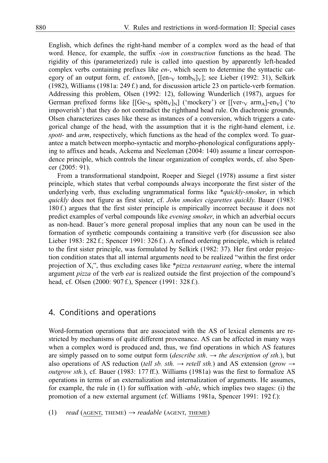English, which defines the right-hand member of a complex word as the head of that word. Hence, for example, the suffix -*ion* in *construction* functions as the head. The rigidity of this (parameterized) rule is called into question by apparently left-headed complex verbs containing prefixes like *en*-, which seem to determine the syntactic category of an output form, cf. *entomb*,  $[[en_{\rm v} \t{tomb_{\rm N}}]_{\rm v}]$ ; see Lieber (1992: 31), Selkirk (1982), Williams (1981a: 249 f.) and, for discussion article 23 on particle-verb formation. Addressing this problem, Olsen (1992: 12), following Wunderlich (1987), argues for German prefixed forms like  $[(Ge_{N} \text{ spött}_{V}]_{N}]$  ('mockery') or  $[[ver_{V} \text{ arm}_{A}]$ -en<sub>V</sub>] ('to impoverish') that they do not contradict the righthand head rule. On diachronic grounds, Olsen characterizes cases like these as instances of a conversion, which triggers a categorical change of the head, with the assumption that it is the right-hand element, i.e. *spott-* and *arm*, respectively, which functions as the head of the complex word. To guarantee a match between morpho-syntactic and morpho-phonological configurations applying to affixes and heads, Ackema and Neeleman (2004: 140) assume a linear correspondence principle, which controls the linear organization of complex words, cf. also Spencer (2005: 91).

From a transformational standpoint, Roeper and Siegel (1978) assume a first sister principle, which states that verbal compounds always incorporate the first sister of the underlying verb, thus excluding ungrammatical forms like \**quickly-smoker*, in which *quickly* does not figure as first sister, cf. *John smokes cigarettes quickly*. Bauer (1983: 180 f.) argues that the first sister principle is empirically incorrect because it does not predict examples of verbal compounds like *evening smoker*, in which an adverbial occurs as non-head. Bauer's more general proposal implies that any noun can be used in the formation of synthetic compounds containing a transitive verb (for discussion see also Lieber 1983: 282 f.; Spencer 1991: 326 f.). A refined ordering principle, which is related to the first sister principle, was formulated by Selkirk (1982: 37). Her first order projection condition states that all internal arguments need to be realized "within the first order projection of Xi", thus excluding cases like \**pizza restaurant eating*, where the internal argument *pizza* of the verb *eat* is realized outside the first projection of the compound's head, cf. Olsen (2000: 907 f.), Spencer (1991: 328 f.).

#### 4. Conditions and operations

Word-formation operations that are associated with the AS of lexical elements are restricted by mechanisms of quite different provenance. AS can be affected in many ways when a complex word is produced and, thus, we find operations in which AS features are simply passed on to some output form (*describe sth*.  $\rightarrow$  *the description of sth.*), but also operations of AS reduction (*tell sb. sth.*  $\rightarrow$  *retell sth.*) and AS extension (*grow*  $\rightarrow$ *outgrow sth.*), cf. Bauer (1983: 177 ff.). Williams (1981a) was the first to formalize AS operations in terms of an externalization and internalization of arguments. He assumes, for example, the rule in (1) for suffixation with *-able*, which implies two stages: (i) the promotion of a new external argument (cf. Williams 1981a, Spencer 1991: 192 f.):

(1)  $read$  (AGENT, THEME)  $\rightarrow readable$  (AGENT, THEME)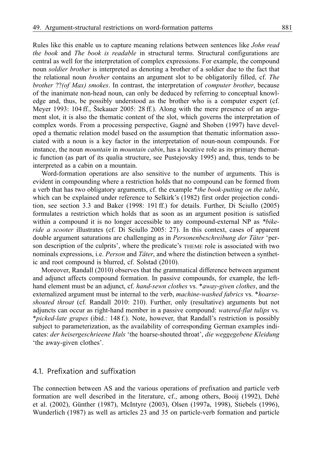Rules like this enable us to capture meaning relations between sentences like *John read the book* and *The book is readable* in structural terms. Structural configurations are central as well for the interpretation of complex expressions. For example, the compound noun *soldier brother* is interpreted as denoting a brother of a soldier due to the fact that the relational noun *brother* contains an argument slot to be obligatorily filled, cf. *The brother* ??*(of Max) smokes*. In contrast, the interpretation of *computer brother*, because of the inanimate non-head noun, can only be deduced by referring to conceptual knowledge and, thus, be possibly understood as the brother who is a computer expert (cf. Meyer 1993: 104 ff., Štekauer 2005: 28 ff.). Along with the mere presence of an argument slot, it is also the thematic content of the slot, which governs the interpretation of complex words. From a processing perspective, Gagné and Shoben (1997) have developed a thematic relation model based on the assumption that thematic information associated with a noun is a key factor in the interpretation of noun-noun compounds. For instance, the noun *mountain* in *mountain cabin*, has a locative role as its primary thematic function (as part of its qualia structure, see Pustejovsky 1995) and, thus, tends to be interpreted as a cabin on a mountain.

Word-formation operations are also sensitive to the number of arguments. This is evident in compounding where a restriction holds that no compound can be formed from a verb that has two obligatory arguments, cf. the example \**the book-putting on the table*, which can be explained under reference to Selkirk's (1982) first order projection condition, see section 3.3 and Baker (1998: 191 ff.) for details. Further, Di Sciullo (2005) formulates a restriction which holds that as soon as an argument position is satisfied within a compound it is no longer accessible to any compound-external NP as *\*bikeride a scooter* illustrates (cf. Di Sciullo 2005: 27). In this context, cases of apparent double argument saturations are challenging as in *Personenbeschreibung der Täter* 'person description of the culprits', where the predicate's THEME role is associated with two nominals expressions, i.e. *Person* and *Täter*, and where the distinction between a synthetic and root compound is blurred, cf. Solstad (2010).

Moreover, Randall (2010) observes that the grammatical difference between argument and adjunct affects compound formation. In passive compounds, for example, the lefthand element must be an adjunct, cf. *hand-sewn clothes* vs. \**away-given clothes*, and the externalized argument must be internal to the verb, *machine-washed fabrics* vs. \**hoarseshouted throat* (cf. Randall 2010: 210). Further, only (resultative) arguments but not adjuncts can occur as right-hand member in a passive compound: *watered-flat tulips* vs. \**picked-late grapes* (ibid.: 148 f.). Note, however, that Randall's restriction is possibly subject to parameterization, as the availability of corresponding German examples indicates: *der heisergeschrieene Hals* 'the hoarse-shouted throat', *die weggegebene Kleidung* 'the away-given clothes'.

#### 4.1. Prefixation and suffixation

The connection between AS and the various operations of prefixation and particle verb formation are well described in the literature, cf., among others, Booij (1992), Dehé et al. (2002), Günther (1987), McIntyre (2003), Olsen (1997a, 1998), Stiebels (1996), Wunderlich (1987) as well as articles 23 and 35 on particle-verb formation and particle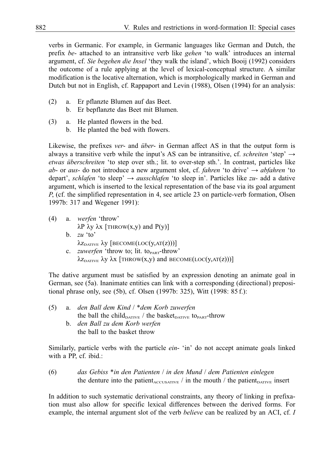verbs in Germanic. For example, in Germanic languages like German and Dutch, the prefix *be*- attached to an intransitive verb like *gehen* 'to walk' introduces an internal argument, cf. *Sie begehen die Insel* 'they walk the island', which Booij (1992) considers the outcome of a rule applying at the level of lexical-conceptual structure. A similar modification is the locative alternation, which is morphologically marked in German and Dutch but not in English, cf. Rappaport and Levin (1988), Olsen (1994) for an analysis:

- (2) a. Er pflanzte Blumen auf das Beet.
	- b. Er bepflanzte das Beet mit Blumen.
- (3) a. He planted flowers in the bed.
	- b. He planted the bed with flowers.

Likewise, the prefixes *ver*- and *über*- in German affect AS in that the output form is always a transitive verb while the input's AS can be intransitive, cf. *schreiten* 'step'  $\rightarrow$ *etwas überschreiten* 'to step over sth.; lit. to over-step sth.'. In contrast, particles like *ab*- or *aus*- do not introduce a new argument slot, cf. *fahren* 'to drive' → *abfahren* 'to depart', *schlafen* 'to sleep' → *ausschlafen* 'to sleep in'. Particles like *zu-* add a dative argument, which is inserted to the lexical representation of the base via its goal argument *P*, (cf. the simplified representation in 4, see article 23 on particle-verb formation, Olsen 1997b: 317 and Wegener 1991):

(4) a. *werfen* 'throw'  $\lambda$ P  $\lambda$ y  $\lambda$ x [THROW(x,y) and P(y)] b.  $zu$  'to'  $\lambda z_{\text{DATE}}$   $\lambda y$  [BECOME(LOC(y,AT(z)))] c. *zuwerfen* 'throw to; lit. to<sub>PART</sub>-throw'  $\lambda z_{\text{DATIVE}}$   $\lambda y \lambda x$  [THROW(x,y) and BECOME(LOC(y,AT(z)))]

The dative argument must be satisfied by an expression denoting an animate goal in German, see (5a). Inanimate entities can link with a corresponding (directional) prepositional phrase only, see (5b), cf. Olsen (1997b: 325), Witt (1998: 85 f.):

(5) a. *den Ball dem Kind* / \**dem Korb zuwerfen* the ball the child $_{\text{DATIVE}}$  / the basket<sub>DATIVE</sub> to<sub>PART</sub>-throw b. *den Ball zu dem Korb werfen* the ball to the basket throw

Similarly, particle verbs with the particle *ein*- 'in' do not accept animate goals linked with a PP, cf. ibid.:

(6) *das Gebiss* \**in den Patienten* / *in den Mund* / *dem Patienten einlegen* the denture into the patient<sub>ACCUSATIVE</sub> / in the mouth / the patient<sub>DATIVE</sub> insert

In addition to such systematic derivational constraints, any theory of linking in prefixation must also allow for specific lexical differences between the derived forms. For example, the internal argument slot of the verb *believe* can be realized by an ACI, cf. *I*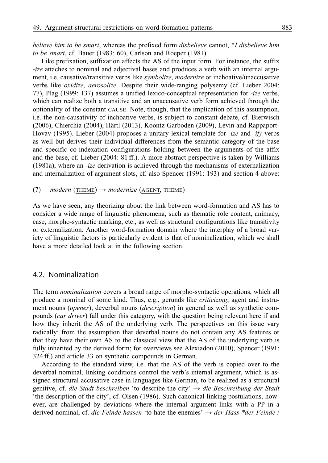*believe him to be smart*, whereas the prefixed form *disbelieve* cannot, \**I disbelieve him to be smart*, cf. Bauer (1983: 60), Carlson and Roeper (1981).

Like prefixation, suffixation affects the AS of the input form. For instance, the suffix -*ize* attaches to nominal and adjectival bases and produces a verb with an internal argument, i.e. causative/transitive verbs like *symbolize*, *modernize* or inchoative/unaccusative verbs like *oxidize*, *aerosolize*. Despite their wide-ranging polysemy (cf. Lieber 2004: 77), Plag (1999: 137) assumes a unified lexico-conceptual representation for -*ize* verbs, which can realize both a transitive and an unaccusative verb form achieved through the optionality of the constant CAUSE. Note, though, that the implication of this assumption, i.e. the non-causativity of inchoative verbs, is subject to constant debate, cf. Bierwisch (2006), Chierchia (2004), Härtl (2013), Koontz-Garboden (2009), Levin and Rappaport-Hovav (1995). Lieber (2004) proposes a unitary lexical template for -*ize* and -*ify* verbs as well but derives their individual differences from the semantic category of the base and specific co-indexation configurations holding between the arguments of the affix and the base, cf. Lieber (2004: 81 ff.). A more abstract perspective is taken by Williams (1981a), where an -*ize* derivation is achieved through the mechanisms of externalization and internalization of argument slots, cf. also Spencer (1991: 193) and section 4 above:

#### $(7)$  *modern* (THEME)  $\rightarrow$  *modernize* (AGENT, THEME)

As we have seen, any theorizing about the link between word-formation and AS has to consider a wide range of linguistic phenomena, such as thematic role content, animacy, case, morpho-syntactic marking, etc., as well as structural configurations like transitivity or externalization. Another word-formation domain where the interplay of a broad variety of linguistic factors is particularly evident is that of nominalization, which we shall have a more detailed look at in the following section.

#### 4.2. Nominalization

The term *nominalization* covers a broad range of morpho-syntactic operations, which all produce a nominal of some kind. Thus, e.g., gerunds like *criticizing*, agent and instrument nouns (*opener*), deverbal nouns (*description*) in general as well as synthetic compounds (*car driver*) fall under this category, with the question being relevant here if and how they inherit the AS of the underlying verb. The perspectives on this issue vary radically: from the assumption that deverbal nouns do not contain any AS features or that they have their own AS to the classical view that the AS of the underlying verb is fully inherited by the derived form; for overviews see Alexiadou (2010), Spencer (1991: 324 ff.) and article 33 on synthetic compounds in German.

According to the standard view, i.e. that the AS of the verb is copied over to the deverbal nominal, linking conditions control the verb's internal argument, which is assigned structural accusative case in languages like German, to be realized as a structural genitive, cf. *die Stadt beschreiben* 'to describe the city' → *die Beschreibung der Stadt* 'the description of the city', cf. Olsen (1986). Such canonical linking postulations, however, are challenged by deviations where the internal argument links with a PP in a derived nominal, cf. *die Feinde hassen* 'to hate the enemies' → *der Hass \*der Feinde* /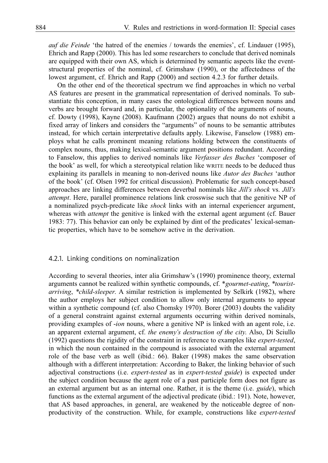*auf die Feinde* 'the hatred of the enemies / towards the enemies', cf. Lindauer (1995), Ehrich and Rapp (2000). This has led some researchers to conclude that derived nominals are equipped with their own AS, which is determined by semantic aspects like the eventstructural properties of the nominal, cf. Grimshaw (1990), or the affectedness of the lowest argument, cf. Ehrich and Rapp (2000) and section 4.2.3 for further details.

On the other end of the theoretical spectrum we find approaches in which no verbal AS features are present in the grammatical representation of derived nominals. To substantiate this conception, in many cases the ontological differences between nouns and verbs are brought forward and, in particular, the optionality of the arguments of nouns, cf. Dowty (1998), Kayne (2008). Kaufmann (2002) argues that nouns do not exhibit a fixed array of linkers and considers the "arguments" of nouns to be semantic attributes instead, for which certain interpretative defaults apply. Likewise, Fanselow (1988) employs what he calls prominent meaning relations holding between the constituents of complex nouns, thus, making lexical-semantic argument positions redundant. According to Fanselow, this applies to derived nominals like *Verfasser des Buches* 'composer of the book' as well, for which a stereotypical relation like WRITE needs to be deduced thus explaining its parallels in meaning to non-derived nouns like *Autor des Buches* 'author of the book' (cf. Olsen 1992 for critical discussion). Problematic for such concept-based approaches are linking differences between deverbal nominals like *Jill's shock* vs. *Jill's attempt*. Here, parallel prominence relations link crosswise such that the genitive NP of a nominalized psych-predicate like *shock* links with an internal experiencer argument, whereas with *attempt* the genitive is linked with the external agent argument (cf. Bauer 1983: 77). This behavior can only be explained by dint of the predicates' lexical-semantic properties, which have to be somehow active in the derivation.

#### 4.2.1. Linking conditions on nominalization

According to several theories, inter alia Grimshaw's (1990) prominence theory, external arguments cannot be realized within synthetic compounds, cf. \**gourmet-eating*, *\*touristarriving*, *\*child-sleeper*. A similar restriction is implemented by Selkirk (1982), where the author employs her subject condition to allow only internal arguments to appear within a synthetic compound (cf. also Chomsky 1970). Borer (2003) doubts the validity of a general constraint against external arguments occurring within derived nominals, providing examples of -*ion* nouns, where a genitive NP is linked with an agent role, i.e. an apparent external argument, cf. *the enemy's destruction of the city*. Also, Di Sciullo (1992) questions the rigidity of the constraint in reference to examples like *expert-tested*, in which the noun contained in the compound is associated with the external argument role of the base verb as well (ibid.: 66). Baker (1998) makes the same observation although with a different interpretation: According to Baker, the linking behavior of such adjectival constructions (i.e. *expert-tested* as in *expert-tested guide*) is expected under the subject condition because the agent role of a past participle form does not figure as an external argument but as an internal one. Rather, it is the theme (i.e. *guide*), which functions as the external argument of the adjectival predicate (ibid.: 191). Note, however, that AS based approaches, in general, are weakened by the noticeable degree of nonproductivity of the construction. While, for example, constructions like *expert-tested*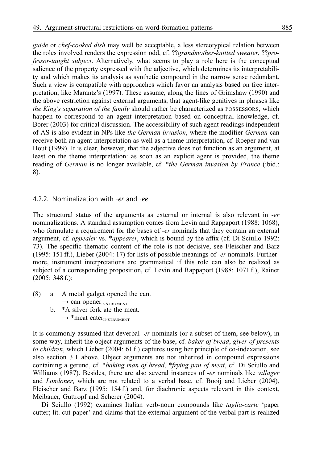*guide* or *chef-cooked dish* may well be acceptable, a less stereotypical relation between the roles involved renders the expression odd, cf. ??*grandmother-knitted sweater*, ??*professor-taught subject*. Alternatively, what seems to play a role here is the conceptual salience of the property expressed with the adjective, which determines its interpretability and which makes its analysis as synthetic compound in the narrow sense redundant. Such a view is compatible with approaches which favor an analysis based on free interpretation, like Marantz's (1997). These assume, along the lines of Grimshaw (1990) and the above restriction against external arguments, that agent-like genitives in phrases like *the King's separation of the family* should rather be characterized as POSSESSORS, which happen to correspond to an agent interpretation based on conceptual knowledge, cf. Borer (2003) for critical discussion. The accessibility of such agent readings independent of AS is also evident in NPs like *the German invasion*, where the modifier *German* can receive both an agent interpretation as well as a theme interpretation, cf. Roeper and van Hout (1999). It is clear, however, that the adjective does not function as an argument, at least on the theme interpretation: as soon as an explicit agent is provided, the theme reading of *German* is no longer available, cf. \**the German invasion by France* (ibid.: 8).

#### 4.2.2. Nominalization with -*er* and -*ee*

The structural status of the arguments as external or internal is also relevant in -*er* nominalizations. A standard assumption comes from Levin and Rappaport (1988: 1068), who formulate a requirement for the bases of -*er* nominals that they contain an external argument, cf. *appealer* vs. \**appearer*, which is bound by the affix (cf. Di Sciullo 1992: 73). The specific thematic content of the role is not decisive, see Fleischer and Barz (1995: 151 ff.), Lieber (2004: 17) for lists of possible meanings of -*er* nominals. Furthermore, instrument interpretations are grammatical if this role can also be realized as subject of a corresponding proposition, cf. Levin and Rappaport (1988: 1071 f.), Rainer (2005: 348 f.):

(8) a. A metal gadget opened the can.

 $\rightarrow$  can opener<sub>INSTRUMENT</sub>

b. \*A silver fork ate the meat.  $\rightarrow$  \*meat eater<sub>INSTRUMENT</sub>

It is commonly assumed that deverbal -*er* nominals (or a subset of them, see below), in some way, inherit the object arguments of the base, cf. *baker of bread*, *giver of presents to children*, which Lieber (2004: 61 f.) captures using her principle of co-indexation, see also section 3.1 above. Object arguments are not inherited in compound expressions containing a gerund, cf. \**baking man of bread*, \**frying pan of meat*, cf. Di Sciullo and Williams (1987). Besides, there are also several instances of -*er* nominals like *villager* and *Londoner*, which are not related to a verbal base, cf. Booij and Lieber (2004), Fleischer and Barz (1995: 154 f.) and, for diachronic aspects relevant in this context, Meibauer, Guttropf and Scherer (2004).

Di Sciullo (1992) examines Italian verb-noun compounds like *taglia-carte* 'paper cutter; lit. cut-paper' and claims that the external argument of the verbal part is realized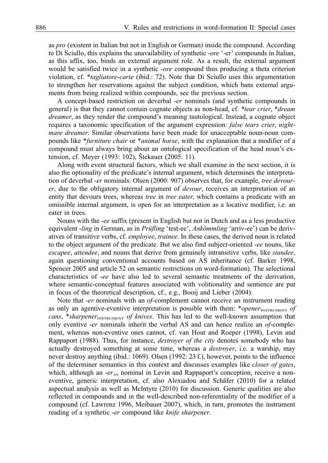as *pro* (existent in Italian but not in English or German) inside the compound. According to Di Sciullo, this explains the unavailability of synthetic -*ore* '-er' compounds in Italian, as this affix, too, binds an external argument role. As a result, the external argument would be satisfied twice in a synthetic -*ore* compound thus producing a theta criterion violation, cf. \**tagliatore*-*carte* (ibid.: 72). Note that Di Sciullo uses this argumentation to strengthen her reservations against the subject condition, which bans external arguments from being realized within compounds, see the previous section.

A concept-based restriction on deverbal -*er* nominals (and synthetic compounds in general) is that they cannot contain cognate objects as non-head, cf. *\*tear crier*, \**dream dreamer*, as they render the compound's meaning tautological. Instead, a cognate object requires a taxonomic specification of the argument expression: *false tears crier*, *nightmare dreamer*. Similar observations have been made for unacceptable noun-noun compounds like \**furniture chair* or \**animal horse*, with the explanation that a modifier of a compound must always bring about an ontological specification of the head noun's extension, cf. Meyer (1993: 102), Štekauer (2005: 11).

Along with event structural factors, which we shall examine in the next section, it is also the optionality of the predicate's internal argument, which determines the interpretation of deverbal -*er* nominals. Olsen (2000: 907) observes that, for example, *tree devourer*, due to the obligatory internal argument of *devour*, receives an interpretation of an entity that devours trees, whereas *tree* in *tree eater*, which contains a predicate with an omissible internal argument, is open for an interpretation as a locative modifier, i.e. an eater in trees.

Nouns with the -*ee* suffix (present in English but not in Dutch and as a less productive equivalent -*ling* in German, as in *Prüfling* 'test-ee', *Ankömmling* 'arriv-ee') can be derivatives of transitive verbs, cf. *employee*, *trainee*. In these cases, the derived noun is related to the object argument of the predicate. But we also find subject-oriented -*ee* nouns, like *escapee*, *attendee*, and nouns that derive from genuinely intransitive verbs, like *standee*, again questioning conventional accounts based on AS inheritance (cf. Barker 1998, Spencer 2005 and article 52 on semantic restrictions on word-formation). The selectional characteristics of -*ee* have also led to several semantic treatments of the derivation, where semantic-conceptual features associated with volitionality and sentience are put in focus of the theoretical description, cf., e.g., Booij and Lieber (2004).

Note that -*er* nominals with an *of*-complement cannot receive an instrument reading as only an agentive-eventive interpretation is possible with them: \**opener*<sub>INSTRUMENT</sub> of *cans*, \**sharpener*<sub>INSTRUMENT</sub> *of knives*. This has led to the well-known assumption that only eventive -*er* nominals inherit the verbal AS and can hence realize an *of*-complement, whereas non-eventive ones cannot, cf. van Hout and Roeper (1998), Levin and Rappaport (1988). Thus, for instance, *destroyer of the city* denotes somebody who has actually destroyed something at some time, whereas a *destroyer*, i.e. a warship, may never destroy anything (ibid.: 1069). Olsen (1992: 23 f.), however, points to the influence of the determiner semantics in this context and discusses examples like *closer of gates*, which, although an  $-er_{\Delta S}$  nominal in Levin and Rappaport's conception, receive a noneventive, generic interpretation, cf. also Alexiadou and Schäfer (2010) for a related aspectual analysis as well as McIntyre (2010) for discussion. Generic qualities are also reflected in compounds and in the well-described non-referentiality of the modifier of a compound (cf. Lawrenz 1996, Meibauer 2007), which, in turn, promotes the instrument reading of a synthetic -*er* compound like *knife sharpener*.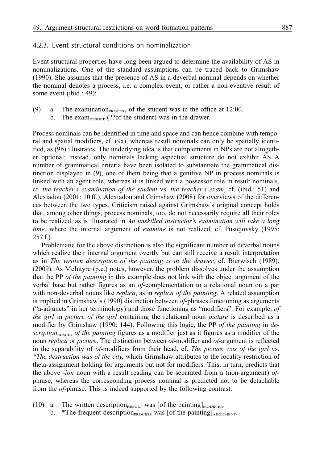#### 4.2.3. Event structural conditions on nominalization

Event structural properties have long been argued to determine the availability of AS in nominalizations. One of the standard assumptions can be traced back to Grimshaw (1990). She assumes that the presence of AS in a deverbal nominal depends on whether the nominal denotes a process, i.e. a complex event, or rather a non-eventive result of some event (ibid.: 49):

- (9) a. The examination $_{\text{Process}}$  of the student was in the office at 12:00.
	- b. The exam<sub>RESULT</sub> (??of the student) was in the drawer.

Process nominals can be identified in time and space and can hence combine with temporal and spatial modifiers, cf. (9a), whereas result nominals can only be spatially identified, as (9b) illustrates. The underlying idea is that complements in NPs are not altogether optional; instead, only nominals lacking aspectual structure do not exhibit AS. A number of grammatical criteria have been isolated to substantiate the grammatical distinction displayed in (9), one of them being that a genitive NP in process nominals is linked with an agent role, whereas it is linked with a possessor role in result nominals, cf. *the teacher's examination of the student* vs. *the teacher's exam*, cf. (ibid.: 51) and Alexiadou (2001: 10 ff.), Alexiadou and Grimshaw (2008) for overviews of the differences between the two types. Criticism raised against Grimshaw's original concept holds that, among other things, process nominals, too, do not necessarily require all their roles to be realized, as is illustrated in *An unskilled instructor's examination will take a long time*, where the internal argument of *examine* is not realized, cf. Pustejovsky (1995: 257 f.).

Problematic for the above distinction is also the significant number of deverbal nouns which realize their internal argument overtly but can still receive a result interpretation as in *The written description of the painting is in the drawer*, cf. Bierwisch (1989), (2009). As McIntyre (p.c.) notes, however, the problem dissolves under the assumption that the PP *of the painting* in this example does not link with the object argument of the verbal base but rather figures as an *of*-complementation to a relational noun on a par with non-deverbal nouns like *replica*, as in *replica of the painting*. A related assumption is implied in Grimshaw's (1990) distinction between *of*-phrases functioning as arguments ("a-adjuncts" in her terminology) and those functioning as "modifiers". For example, *of the girl* in *picture of the girl* containing the relational noun *picture* is described as a modifier by Grimshaw (1990: 144). Following this logic, the PP *of the painting* in *description*<sub>RESULT</sub> *of the painting* figures as a modifier just as it figures as a modifier of the noun *replica* or *picture*. The distinction between *of*-modifier and *of*-argument is reflected in the separability of *of*-modifiers from their head, cf. *The picture was of the girl* vs. *\*The destruction was of the city*, which Grimshaw attributes to the locality restriction of theta-assignment holding for arguments but not for modifiers. This, in turn, predicts that the above -*ion* noun with a result reading can be separated from a (non-argument) *of*phrase, whereas the corresponding process nominal is predicted not to be detachable from the *of*-phrase. This is indeed supported by the following contrast:

- (10) a. The written description<sub>RESULT</sub> was [of the painting]<sub>MODIFIER</sub>.
	- b. \*The frequent description<sub>PROCESS</sub> was [of the painting] $_{\text{ARGUMENT}}$ .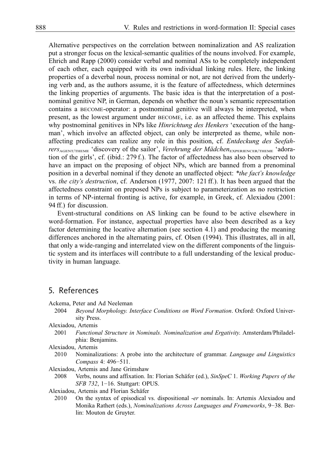Alternative perspectives on the correlation between nominalization and AS realization put a stronger focus on the lexical-semantic qualities of the nouns involved. For example, Ehrich and Rapp (2000) consider verbal and nominal ASs to be completely independent of each other, each equipped with its own individual linking rules. Here, the linking properties of a deverbal noun, process nominal or not, are not derived from the underlying verb and, as the authors assume, it is the feature of affectedness, which determines the linking properties of arguments. The basic idea is that the interpretation of a postnominal genitive NP, in German, depends on whether the noun's semantic representation contains a BECOME-operator: a postnominal genitive will always be interpreted, when present, as the lowest argument under BECOME, i.e. as an affected theme. This explains why postnominal genitives in NPs like *Hinrichtung des Henkers* 'execution of the hangman', which involve an affected object, can only be interpreted as theme, while nonaffecting predicates can realize any role in this position, cf. *Entdeckung des Seefahrers*<sub>AGENT/THEME</sub> 'discovery of the sailor', *Verehrung der Mädchen*<sub>EXPERIENCER/THEME</sub> 'adoration of the girls', cf. (ibid.: 279 f.). The factor of affectedness has also been observed to have an impact on the preposing of object NPs, which are banned from a prenominal position in a deverbal nominal if they denote an unaffected object: *\*the fact's knowledge* vs. *the city's destruction*, cf. Anderson (1977, 2007: 121 ff.). It has been argued that the affectedness constraint on preposed NPs is subject to parameterization as no restriction in terms of NP-internal fronting is active, for example, in Greek, cf. Alexiadou (2001: 94 ff.) for discussion.

Event-structural conditions on AS linking can be found to be active elsewhere in word-formation. For instance, aspectual properties have also been described as a key factor determining the locative alternation (see section 4.1) and producing the meaning differences anchored in the alternating pairs, cf. Olsen (1994). This illustrates, all in all, that only a wide-ranging and interrelated view on the different components of the linguistic system and its interfaces will contribute to a full understanding of the lexical productivity in human language.

#### 5. References

Ackema, Peter and Ad Neeleman

- 2004 *Beyond Morphology. Interface Conditions on Word Formation*. Oxford: Oxford University Press.
- Alexiadou, Artemis
	- 2001 *Functional Structure in Nominals. Nominalization and Ergativity*. Amsterdam/Philadelphia: Benjamins.

Alexiadou, Artemis

2010 Nominalizations: A probe into the architecture of grammar. *Language and Linguistics Compass* 4: 496−511.

Alexiadou, Artemis and Jane Grimshaw

2008 Verbs, nouns and affixation. In: Florian Schäfer (ed.), *SinSpeC* 1. *Working Papers of the SFB 732*, 1−16. Stuttgart: OPUS.

Alexiadou, Artemis and Florian Schäfer

2010 On the syntax of episodical vs. dispositional -*er* nominals. In: Artemis Alexiadou and Monika Rathert (eds.), *Nominalizations Across Languages and Frameworks*, 9−38. Berlin: Mouton de Gruyter.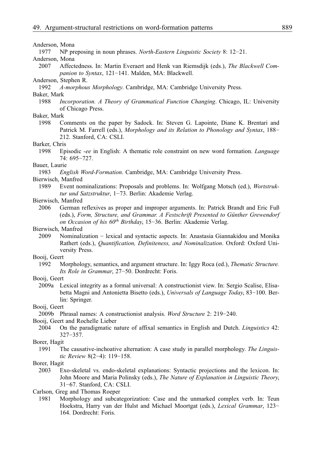#### Anderson, Mona

1977 NP preposing in noun phrases. *North-Eastern Linguistic Society* 8: 12−21.

#### Anderson, Mona

2007 Affectedness. In: Martin Everaert and Henk van Riemsdijk (eds.), *The Blackwell Companion to Syntax*, 121−141. Malden, MA: Blackwell.

## Anderson, Stephen R.<br>1992 *A-mornhou*

1992 *A-morphous Morphology*. Cambridge, MA: Cambridge University Press.

#### Baker, Mark

1988 *Incorporation. A Theory of Grammatical Function Changing*. Chicago, IL: University of Chicago Press.

#### Baker, Mark

1998 Comments on the paper by Sadock. In: Steven G. Lapointe, Diane K. Brentari and Patrick M. Farrell (eds.), *Morphology and its Relation to Phonology and Syntax*, 188− 212. Stanford, CA: CSLI.

#### Barker, Chris

1998 Episodic *-ee* in English: A thematic role constraint on new word formation. *Language* 74: 695−727.

#### Bauer, Laurie

1983 *English Word-Formation*. Cambridge, MA: Cambridge University Press.

#### Bierwisch, Manfred

1989 Event nominalizations: Proposals and problems. In: Wolfgang Motsch (ed.), *Wortstruktur und Satzstruktur*, 1−73. Berlin: Akademie Verlag.

#### Bierwisch, Manfred

2006 German reflexives as proper and improper arguments. In: Patrick Brandt and Eric Fuß (eds.), *Form, Structure, and Grammar. A Festschrift Presented to Günther Grewendorf on Occasion of his 60th Birthday*, 15−36. Berlin: Akademie Verlag.

#### Bierwisch, Manfred

2009 Nominalization − lexical and syntactic aspects. In: Anastasia Giannakidou and Monika Rathert (eds.), *Quantification, Definiteness, and Nominalization*. Oxford: Oxford University Press.

#### Booij, Geert

1992 Morphology, semantics, and argument structure. In: Iggy Roca (ed.), *Thematic Structure. Its Role in Grammar*, 27−50. Dordrecht: Foris.

#### Booij, Geert

2009a Lexical integrity as a formal universal: A constructionist view. In: Sergio Scalise, Elisabetta Magni and Antonietta Bisetto (eds.), *Universals of Language Today*, 83−100. Berlin: Springer.

Booij, Geert

2009b Phrasal names: A constructionist analysis. *Word Structure* 2: 219−240.

Booij, Geert and Rochelle Lieber

2004 On the paradigmatic nature of affixal semantics in English and Dutch. *Linguistics* 42: 327−357.

#### Borer, Hagit

1991 The causative-inchoative alternation: A case study in parallel morphology. *The Linguistic Review* 8(2−4): 119−158.

#### Borer, Hagit

2003 Exo-skeletal vs. endo-skeletal explanations: Syntactic projections and the lexicon. In: John Moore and Maria Polinsky (eds.), *The Nature of Explanation in Linguistic Theory*, 31−67. Stanford, CA: CSLI.

Carlson, Greg and Thomas Roeper

1981 Morphology and subcategorization: Case and the unmarked complex verb. In: Teun Hoekstra, Harry van der Hulst and Michael Moortgat (eds.), *Lexical Grammar*, 123− 164. Dordrecht: Foris.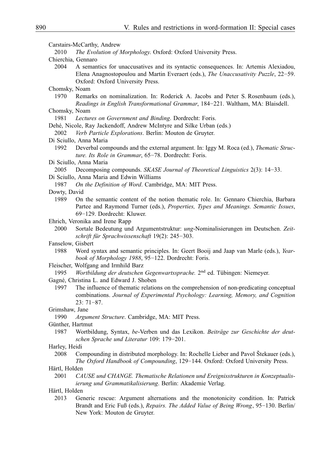Carstairs-McCarthy, Andrew 2010 *The Evolution of Morphology*. Oxford: Oxford University Press. Chierchia, Gennaro 2004 A semantics for unaccusatives and its syntactic consequences. In: Artemis Alexiadou, Elena Anagnostopoulou and Martin Everaert (eds.), *The Unaccusativity Puzzle*, 22−59. Oxford: Oxford University Press. Chomsky, Noam 1970 Remarks on nominalization. In: Roderick A. Jacobs and Peter S. Rosenbaum (eds.), *Readings in English Transformational Grammar*, 184−221. Waltham, MA: Blaisdell. Chomsky, Noam 1981 *Lectures on Government and Binding*. Dordrecht: Foris. Dehé, Nicole, Ray Jackendoff, Andrew McIntyre and Silke Urban (eds.) 2002 *Verb Particle Explorations*. Berlin: Mouton de Gruyter. Di Sciullo, Anna Maria 1992 Deverbal compounds and the external argument. In: Iggy M. Roca (ed.), *Thematic Structure. Its Role in Grammar*, 65−78. Dordrecht: Foris. Di Sciullo, Anna Maria 2005 Decomposing compounds. *SKASE Journal of Theoretical Linguistics* 2(3): 14−33. Di Sciullo, Anna Maria and Edwin Williams 1987 *On the Definition of Word*. Cambridge, MA: MIT Press. Dowty, David 1989 On the semantic content of the notion thematic role. In: Gennaro Chierchia, Barbara Partee and Raymond Turner (eds.), *Properties, Types and Meanings. Semantic Issues*, 69−129. Dordrecht: Kluwer. Ehrich, Veronika and Irene Rapp 2000 Sortale Bedeutung und Argumentstruktur: *ung*-Nominalisierungen im Deutschen. *Zeitschrift für Sprachwissenschaft* 19(2): 245−303. Fanselow, Gisbert 1988 Word syntax and semantic principles. In: Geert Booij and Jaap van Marle (eds.), *Yearbook of Morphology 1988*, 95−122. Dordrecht: Foris. Fleischer, Wolfgang and Irmhild Barz 1995 *Wortbildung der deutschen Gegenwartssprache.* 2nd ed. Tübingen: Niemeyer. Gagné, Christina L. and Edward J. Shoben 1997 The influence of thematic relations on the comprehension of non-predicating conceptual combinations. *Journal of Experimental Psychology: Learning, Memory, and Cognition* 23: 71−87. Grimshaw, Jane 1990 *Argument Structure*. Cambridge, MA: MIT Press. Günther, Hartmut 1987 Wortbildung, Syntax, *be*-Verben und das Lexikon. *Beiträge zur Geschichte der deutschen Sprache und Literatur* 109: 179−201. Harley, Heidi 2008 Compounding in distributed morphology. In: Rochelle Lieber and Pavol Štekauer (eds.), *The Oxford Handbook of Compounding*, 129−144. Oxford: Oxford University Press. Härtl, Holden 2001 *CAUSE und CHANGE. Thematische Relationen und Ereignisstrukturen in Konzeptualisierung und Grammatikalisierung*. Berlin: Akademie Verlag. Härtl, Holden 2013 Generic rescue: Argument alternations and the monotonicity condition. In: Patrick Brandt and Eric Fuß (eds.), *Repairs. The Added Value of Being Wrong*, 95−130. Berlin/ New York: Mouton de Gruyter.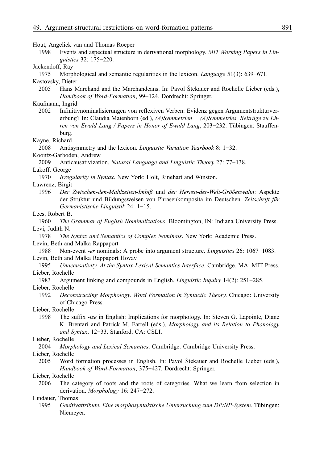Hout, Angeliek van and Thomas Roeper

1998 Events and aspectual structure in derivational morphology. *MIT Working Papers in Linguistics* 32: 175−220.

#### Jackendoff, Ray

1975 Morphological and semantic regularities in the lexicon. *Language* 51(3): 639−671.

#### Kastovsky, Dieter

2005 Hans Marchand and the Marchandeans. In: Pavol Štekauer and Rochelle Lieber (eds.), *Handbook of Word-Formation*, 99−124. Dordrecht: Springer.

#### Kaufmann, Ingrid

2002 Infinitivnominalisierungen von reflexiven Verben: Evidenz gegen Argumentstrukturvererbung? In: Claudia Maienborn (ed.), *(A)Symmetrien − (A)Symmetries. Beiträge zu Ehren von Ewald Lang / Papers in Honor of Ewald Lang*, 203−232. Tübingen: Stauffenburg.

#### Kayne, Richard

- 2008 Antisymmetry and the lexicon. *Linguistic Variation Yearbook* 8: 1−32. Koontz-Garboden, Andrew
- 2009 Anticausativization. *Natural Language and Linguistic Theory* 27: 77−138.
- Lakoff, George
	- 1970 *Irregularity in Syntax*. New York: Holt, Rinehart and Winston.

#### Lawrenz, Birgit

1996 *Der Zwischen-den-Mahlzeiten-Imbiß* und *der Herren-der-Welt-Größenwahn*: Aspekte der Struktur und Bildungsweisen von Phrasenkomposita im Deutschen. *Zeitschrift für Germanistische Linguistik* 24: 1−15.

#### Lees, Robert B.

1960 *The Grammar of English Nominalizations*. Bloomington, IN: Indiana University Press. Levi, Judith N.

- 1978 *The Syntax and Semantics of Complex Nominals*. New York: Academic Press. Levin, Beth and Malka Rappaport
- 1988 Non-event -*er* nominals: A probe into argument structure. *Linguistics* 26: 1067−1083. Levin, Beth and Malka Rappaport Hovav
- 1995 *Unaccusativity. At the Syntax-Lexical Semantics Interface*. Cambridge, MA: MIT Press. Lieber, Rochelle
- 1983 Argument linking and compounds in English. *Linguistic Inquiry* 14(2): 251−285. Lieber, Rochelle
	- 1992 *Deconstructing Morphology. Word Formation in Syntactic Theory*. Chicago: University of Chicago Press.

#### Lieber, Rochelle

1998 The suffix *-ize* in English: Implications for morphology. In: Steven G. Lapointe, Diane K. Brentari and Patrick M. Farrell (eds.), *Morphology and its Relation to Phonology and Syntax*, 12−33. Stanford, CA: CSLI.

#### Lieber, Rochelle

2004 *Morphology and Lexical Semantics*. Cambridge: Cambridge University Press.

#### Lieber, Rochelle

2005 Word formation processes in English. In: Pavol Štekauer and Rochelle Lieber (eds.), *Handbook of Word-Formation*, 375−427. Dordrecht: Springer.

#### Lieber, Rochelle

2006 The category of roots and the roots of categories. What we learn from selection in derivation. *Morphology* 16: 247−272.

#### Lindauer, Thomas

1995 *Genitivattribute. Eine morphosyntaktische Untersuchung zum DP/NP-System*. Tübingen: Niemeyer.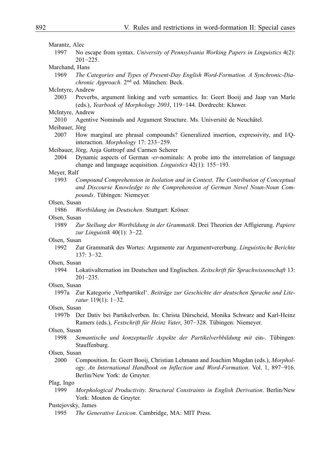| Marantz, Alec                              |                                                                                                                                                                          |
|--------------------------------------------|--------------------------------------------------------------------------------------------------------------------------------------------------------------------------|
| 1997                                       | No escape from syntax. University of Pennsylvania Working Papers in Linguistics 4(2):<br>$201 - 225$ .                                                                   |
| Marchand, Hans                             |                                                                                                                                                                          |
| 1969                                       | The Categories and Types of Present-Day English Word-Formation. A Synchronic-Dia-<br>chronic Approach. 2 <sup>nd</sup> ed. München: Beck.                                |
| McIntyre, Andrew                           |                                                                                                                                                                          |
| 2003                                       | Preverbs, argument linking and verb semantics. In: Geert Booij and Jaap van Marle<br>(eds.), Yearbook of Morphology 2003, 119-144. Dordrecht: Kluwer.                    |
| McIntyre, Andrew                           |                                                                                                                                                                          |
| 2010                                       | Agentive Nominals and Argument Structure. Ms. Université de Neuchâtel.                                                                                                   |
| Meibauer, Jörg                             |                                                                                                                                                                          |
| 2007                                       | How marginal are phrasal compounds? Generalized insertion, expressivity, and I/Q-<br>interaction. Morphology 17: 233-259.                                                |
|                                            | Meibauer, Jörg, Anja Guttropf and Carmen Scherer                                                                                                                         |
| 2004                                       | Dynamic aspects of German -er-nominals: A probe into the interrelation of language<br>change and language acquisition. <i>Linguistics</i> $42(1)$ : 155-193.             |
| Meyer, Ralf                                |                                                                                                                                                                          |
| 1993                                       | Compound Comprehension in Isolation and in Context. The Contribution of Conceptual<br>and Discourse Knowledge to the Comprehension of German Novel Noun-Noun Com-        |
|                                            | pounds. Tübingen: Niemeyer.                                                                                                                                              |
| Olsen, Susan                               |                                                                                                                                                                          |
| 1986                                       | Wortbildung im Deutschen. Stuttgart: Kröner.                                                                                                                             |
| Olsen, Susan                               |                                                                                                                                                                          |
| 1989                                       | Zur Stellung der Wortbildung in der Grammatik. Drei Theorien der Affigierung. Papiere<br>zur Linguistik $40(1)$ : 3-22.                                                  |
| Olsen, Susan                               |                                                                                                                                                                          |
| 1992                                       | Zur Grammatik des Wortes: Argumente zur Argumentvererbung. Linguistische Berichte<br>$137:3-32.$                                                                         |
| Olsen, Susan                               |                                                                                                                                                                          |
| 1994                                       | Lokativalternation im Deutschen und Englischen. Zeitschrift für Sprachwissenschaft 13:<br>$201 - 235$ .                                                                  |
| Olsen, Susan                               |                                                                                                                                                                          |
|                                            | 1997a Zur Kategorie , Verbpartikel'. Beiträge zur Geschichte der deutschen Sprache und Lite-<br>ratur 119(1): 1-32.                                                      |
| Olsen, Susan                               |                                                                                                                                                                          |
| 1997b                                      | Der Dativ bei Partikelverben. In: Christa Dürscheid, Monika Schwarz and Karl-Heinz<br>Ramers (eds.), Festschrift für Heinz Vater, 307-328. Tübingen: Niemeyer.           |
| Olsen, Susan                               |                                                                                                                                                                          |
| 1998                                       | Semantische und konzeptuelle Aspekte der Partikelverbbildung mit ein-. Tübingen:<br>Stauffenburg.                                                                        |
| Olsen, Susan                               |                                                                                                                                                                          |
| 2000                                       | Composition. In: Geert Booij, Christian Lehmann and Joachim Mugdan (eds.), Morphol-<br>ogy. An International Handbook on Inflection and Word-Formation. Vol. 1, 897-916. |
| Berlin/New York: de Gruyter.<br>Plag, Ingo |                                                                                                                                                                          |
| 1999                                       | Morphological Productivity. Structural Constraints in English Derivation. Berlin/New<br>York: Mouton de Gruyter.                                                         |
| Pustejovsky, James                         |                                                                                                                                                                          |
| 1995                                       | The Generative Lexicon. Cambridge, MA: MIT Press.                                                                                                                        |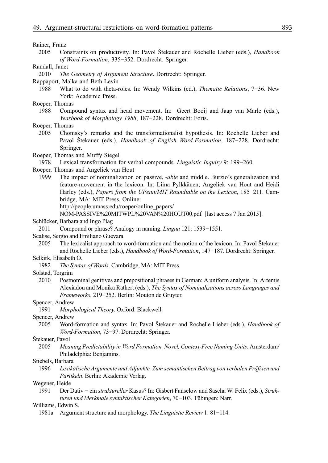#### Rainer, Franz

2005 Constraints on productivity. In: Pavol Štekauer and Rochelle Lieber (eds.), *Handbook of Word-Formation*, 335−352. Dordrecht: Springer.

#### Randall, Janet

2010 *The Geometry of Argument Structure*. Dortrecht: Springer.

Rappaport, Malka and Beth Levin

- 1988 What to do with theta-roles. In: Wendy Wilkins (ed.), *Thematic Relations*, 7−36. New York: Academic Press.
- Roeper, Thomas
	- 1988 Compound syntax and head movement. In: Geert Booij and Jaap van Marle (eds.), *Yearbook of Morphology 1988*, 187−228. Dordrecht: Foris.
- Roeper, Thomas
	- 2005 Chomsky's remarks and the transformationalist hypothesis. In: Rochelle Lieber and Pavol Štekauer (eds.), *Handbook of English Word-Formation*, 187−228. Dordrecht: Springer.
- Roeper, Thomas and Muffy Siegel
- 1978 Lexical transformation for verbal compounds. *Linguistic Inquiry* 9: 199−260.
- Roeper, Thomas and Angeliek van Hout
	- 1999 The impact of nominalization on passive, -*able* and middle. Burzio's generalization and feature-movement in the lexicon. In: Liina Pylkkänen, Angeliek van Hout and Heidi Harley (eds.), *Papers from the UPenn/MIT Roundtable on the Lexicon*, 185−211. Cambridge, MA: MIT Press. Online:
		- http://people.umass.edu/roeper/online\_papers/
		- NOM-PASSIVE%20MITWPL%20VAN%20HOUT00.pdf [last access 7 Jan 2015].
- Schlücker, Barbara and Ingo Plag
	- 2011 Compound or phrase? Analogy in naming. *Lingua* 121: 1539−1551.
- Scalise, Sergio and Emiliano Guevara
	- 2005 The lexicalist approach to word-formation and the notion of the lexicon. In: Pavol Štekauer and Rochelle Lieber (eds.), *Handbook of Word-Formation*, 147−187. Dordrecht: Springer.
- Selkirk, Elisabeth O.
	- 1982 *The Syntax of Words*. Cambridge, MA: MIT Press.
- Solstad, Torgrim
	- 2010 Postnominal genitives and prepositional phrases in German: A uniform analysis. In: Artemis Alexiadou and Monika Rathert (eds.), *The Syntax of Nominalizations across Languages and Frameworks*, 219−252. Berlin: Mouton de Gruyter.

#### Spencer, Andrew

1991 *Morphological Theory*. Oxford: Blackwell.

Spencer, Andrew

2005 Word-formation and syntax. In: Pavol Štekauer and Rochelle Lieber (eds.), *Handbook of Word-Formation*, 73−97. Dordrecht: Springer.

#### Štekauer, Pavol

2005 *Meaning Predictability in Word Formation. Novel, Context-Free Naming Units*. Amsterdam/ Philadelphia: Benjamins.

#### Stiebels, Barbara

1996 *Lexikalische Argumente und Adjunkte. Zum semantischen Beitrag von verbalen Präfixen und Partikeln*. Berlin: Akademie Verlag.

Wegener, Heide

1991 Der Dativ − ein *struktureller* Kasus? In: Gisbert Fanselow and Sascha W. Felix (eds.), *Strukturen und Merkmale syntaktischer Kategorien*, 70−103. Tübingen: Narr.

Williams, Edwin S.

1981a Argument structure and morphology. *The Linguistic Review* 1: 81−114.